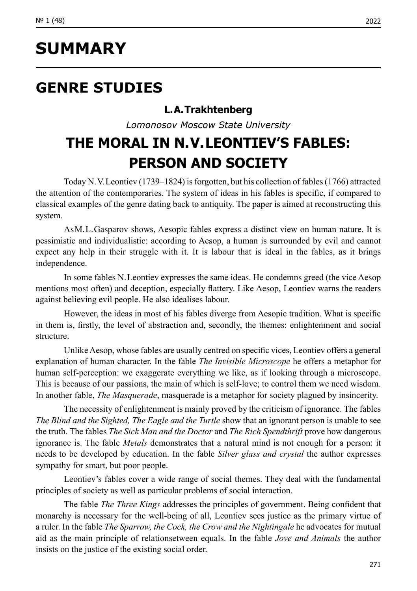# **GENRE STUDIES**

#### **L. A. Trakhtenberg**

*Lomonosov Moscow State University*

# **THE MORAL IN N. V. LEONTIEV'S FABLES: PERSON AND SOCIETY**

Today N. V. Leontiev (1739–1824) is forgotten, but his collection of fables (1766) attracted the attention of the contemporaries. The system of ideas in his fables is specific, if compared to classical examples of the genre dating back to antiquity. The paper is aimed at reconstructing this system.

AsM.L. Gasparov shows, Aesopic fables express a distinct view on human nature. It is pessimistic and individualistic: according to Aesop, a human is surrounded by evil and cannot expect any help in their struggle with it. It is labour that is ideal in the fables, as it brings independence.

In some fables N. Leontiev expresses the same ideas. He condemns greed (the vice Aesop mentions most often) and deception, especially flattery. Like Aesop, Leontiev warns the readers against believing evil people. He also idealises labour.

However, the ideas in most of his fables diverge from Aesopic tradition. What is specific in them is, firstly, the level of abstraction and, secondly, the themes: enlightenment and social structure.

Unlike Aesop, whose fables are usually centred on specific vices, Leontiev offers a general explanation of human character. In the fable *The Invisible Microscope* he offers a metaphor for human self-perception: we exaggerate everything we like, as if looking through a microscope. This is because of our passions, the main of which is self-love; to control them we need wisdom. In another fable, *The Masquerade*, masquerade is a metaphor for society plagued by insincerity.

The necessity of enlightenment is mainly proved by the criticism of ignorance. The fables *The Blind and the Sighted, The Eagle and the Turtle* show that an ignorant person is unable to see the truth. The fables *The Sick Man and the Doctor* and *The Rich Spendthrift* prove how dangerous ignorance is. The fable *Metals* demonstrates that a natural mind is not enough for a person: it needs to be developed by education. In the fable *Silver glass and crystal* the author expresses sympathy for smart, but poor people.

Leontiev's fables cover a wide range of social themes. They deal with the fundamental principles of society as well as particular problems of social interaction.

The fable *The Three Kings* addresses the principles of government. Being confident that monarchy is necessary for the well-being of all, Leontiev sees justice as the primary virtue of a ruler. In the fable *The Sparrow, the Cock, the Crow and the Nightingale* he advocates for mutual aid as the main principle of relationsetween equals. In the fable *Jove and Animals* the author insists on the justice of the existing social order.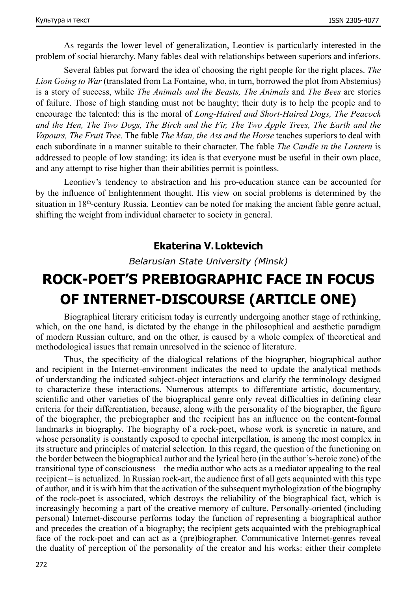As regards the lower level of generalization, Leontiev is particularly interested in the problem of social hierarchy. Many fables deal with relationships between superiors and inferiors.

Several fables put forward the idea of choosing the right people for the right places. *The Lion Going to War* (translated from La Fontaine, who, in turn, borrowed the plot from Abstemius) is a story of success, while *The Animals and the Beasts, The Animals* and *The Bees* are stories of failure. Those of high standing must not be haughty; their duty is to help the people and to encourage the talented: this is the moral of *Long-Haired and Short-Haired Dogs, The Peacock and the Hen, The Two Dogs, The Birch and the Fir, The Two Apple Trees, The Earth and the Vapours, The Fruit Tree*. The fable *The Man, the Ass and the Horse* teaches superiors to deal with each subordinate in a manner suitable to their character. The fable *The Candle in the Lantern* is addressed to people of low standing: its idea is that everyone must be useful in their own place, and any attempt to rise higher than their abilities permit is pointless.

Leontiev's tendency to abstraction and his pro-education stance can be accounted for by the influence of Enlightenment thought. His view on social problems is determined by the situation in 18th-century Russia. Leontiev can be noted for making the ancient fable genre actual, shifting the weight from individual character to society in general.

#### **Ekaterina V. Loktevich**

*Belarusian State University (Minsk)*

## **ROCK-POET'S PREBIOGRAPHIC FACE IN FOCUS OF INTERNET-DISCOURSE (ARTICLE ONE)**

Biographical literary criticism today is currently undergoing another stage of rethinking, which, on the one hand, is dictated by the change in the philosophical and aesthetic paradigm of modern Russian culture, and on the other, is caused by a whole complex of theoretical and methodological issues that remain unresolved in the science of literature.

Thus, the specificity of the dialogical relations of the biographer, biographical author and recipient in the Internet-environment indicates the need to update the analytical methods of understanding the indicated subject-object interactions and clarify the terminology designed to characterize these interactions. Numerous attempts to differentiate artistic, documentary, scientific and other varieties of the biographical genre only reveal difficulties in defining clear criteria for their differentiation, because, along with the personality of the biographer, the figure of the biographer, the prebiographer and the recipient has an influence on the content-formal landmarks in biography. The biography of a rock-poet, whose work is syncretic in nature, and whose personality is constantly exposed to epochal interpellation, is among the most complex in its structure and principles of material selection. In this regard, the question of the functioning on the border between the biographical author and the lyrical hero (in the author's-heroic zone) of the transitional type of consciousness – the media author who acts as a mediator appealing to the real recipient – is actualized. In Russian rock-art, the audience first of all gets acquainted with this type of author, and it is with him that the activation of the subsequent mythologization of the biography of the rock-poet is associated, which destroys the reliability of the biographical fact, which is increasingly becoming a part of the creative memory of culture. Personally-oriented (including personal) Internet-discourse performs today the function of representing a biographical author and precedes the creation of a biography; the recipient gets acquainted with the prebiographical face of the rock-poet and can act as a (pre)biographer. Communicative Internet-genres reveal the duality of perception of the personality of the creator and his works: either their complete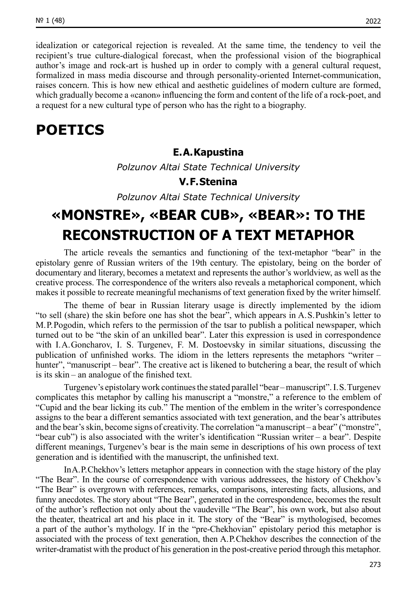idealization or categorical rejection is revealed. At the same time, the tendency to veil the recipient's true culture-dialogical forecast, when the professional vision of the biographical author's image and rock-art is hushed up in order to comply with a general cultural request, formalized in mass media discourse and through personality-oriented Internet-communication, raises concern. This is how new ethical and aesthetic guidelines of modern culture are formed, which gradually become a «canon» influencing the form and content of the life of a rock-poet, and a request for a new cultural type of person who has the right to a biography.

### **POETICS**

#### **E. A. Kapustina**

*Polzunov Altai State Technical University*

#### **V. F. Stenina**

*Polzunov Altai State Technical University*

## **«MONSTRE», «BEAR CUB», «BEAR»: TO THE RECONSTRUCTION OF A TEXT METAPHOR**

The article reveals the semantics and functioning of the text-metaphor "bear" in the epistolary genre of Russian writers of the 19th century. The epistolary, being on the border of documentary and literary, becomes a metatext and represents the author's worldview, as well as the creative process. The correspondence of the writers also reveals a metaphorical component, which makes it possible to recreate meaningful mechanisms of text generation fixed by the writer himself.

The theme of bear in Russian literary usage is directly implemented by the idiom "to sell (share) the skin before one has shot the bear", which appears in A. S. Pushkin's letter to M. P. Pogodin, which refers to the permission of the tsar to publish a political newspaper, which turned out to be "the skin of an unkilled bear". Later this expression is used in correspondence with I.A. Goncharov, I. S. Turgenev, F. M. Dostoevsky in similar situations, discussing the publication of unfinished works. The idiom in the letters represents the metaphors "writer – hunter", "manuscript – bear". The creative act is likened to butchering a bear, the result of which is its skin – an analogue of the finished text.

Turgenev's epistolary work continues the stated parallel "bear–manuscript". I. S. Turgenev complicates this metaphor by calling his manuscript a "monstre," a reference to the emblem of "Cupid and the bear licking its cub." The mention of the emblem in the writer's correspondence assigns to the bear a different semantics associated with text generation, and the bear's attributes and the bear's skin, become signs of creativity. The correlation "a manuscript – a bear" ("monstre", "bear cub") is also associated with the writer's identification "Russian writer – a bear". Despite different meanings, Turgenev's bear is the main seme in descriptions of his own process of text generation and is identified with the manuscript, the unfinished text.

In A. P. Chekhov's letters metaphor appears in connection with the stage history of the play "The Bear". In the course of correspondence with various addressees, the history of Chekhov's "The Bear" is overgrown with references, remarks, comparisons, interesting facts, allusions, and funny anecdotes. The story about "The Bear", generated in the correspondence, becomes the result of the author's reflection not only about the vaudeville "The Bear", his own work, but also about the theater, theatrical art and his place in it. The story of the "Bear" is mythologised, becomes a part of the author's mythology. If in the "pre-Chekhovian" epistolary period this metaphor is associated with the process of text generation, then A. P. Chekhov describes the connection of the writer-dramatist with the product of his generation in the post-creative period through this metaphor.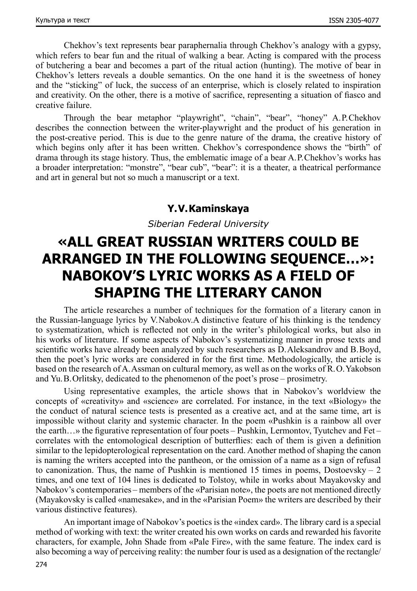Chekhov's text represents bear paraphernalia through Chekhov's analogy with a gypsy, which refers to bear fun and the ritual of walking a bear. Acting is compared with the process of butchering a bear and becomes a part of the ritual action (hunting). The motive of bear in Chekhov's letters reveals a double semantics. On the one hand it is the sweetness of honey and the "sticking" of luck, the success of an enterprise, which is closely related to inspiration and creativity. On the other, there is a motive of sacrifice, representing a situation of fiasco and creative failure.

Through the bear metaphor "playwright", "chain", "bear", "honey" A.P.Chekhov describes the connection between the writer-playwright and the product of his generation in the post-creative period. This is due to the genre nature of the drama, the creative history of which begins only after it has been written. Chekhov's correspondence shows the "birth" of drama through its stage history. Thus, the emblematic image of a bear A. P. Chekhov's works has a broader interpretation: "monstre", "bear cub", "bear": it is a theater, a theatrical performance and art in general but not so much a manuscript or a text.

#### **Y. V. Kaminskaya**

*Siberian Federal University*

## **«ALL GREAT RUSSIAN WRITERS COULD BE ARRANGED IN THE FOLLOWING SEQUENCE…»: NABOKOV'S LYRIC WORKS AS A FIELD OF SHAPING THE LITERARY CANON**

The article researches a number of techniques for the formation of a literary canon in the Russian-language lyrics by V. Nabokov.A distinctive feature of his thinking is the tendency to systematization, which is reflected not only in the writer's philological works, but also in his works of literature. If some aspects of Nabokov's systematizing manner in prose texts and scientific works have already been analyzed by such researchers as D. Aleksandrov and B. Boyd, then the poet's lyric works are considered in for the first time. Methodologically, the article is based on the research of A. Assman on cultural memory, as well as on the works of R. O. Yakobson and Yu. B. Orlitsky, dedicated to the phenomenon of the poet's prose – prosimetry.

Using representative examples, the article shows that in Nabokov's worldview the concepts of «creativity» and «science» are correlated. For instance, in the text «Biology» the the conduct of natural science tests is presented as a creative act, and at the same time, art is impossible without clarity and systemic character. In the poem «Pushkin is a rainbow all over the earth…» the figurative representation of four poets – Pushkin, Lermontov, Tyutchev and Fet – correlates with the entomological description of butterflies: each of them is given a definition similar to the lepidopterological representation on the card. Another method of shaping the canon is naming the writers accepted into the pantheon, or the omission of a name as a sign of refusal to canonization. Thus, the name of Pushkin is mentioned 15 times in poems. Dostoevsky  $-2$ times, and one text of 104 lines is dedicated to Tolstoy, while in works about Mayakovsky and Nabokov's contemporaries – members of the «Parisian note», the poets are not mentioned directly (Mayakovsky is called «namesake», and in the «Parisian Poem» the writers are described by their various distinctive features).

An important image of Nabokov's poetics is the «index card». The library card is a special method of working with text: the writer created his own works on cards and rewarded his favorite characters, for example, John Shade from «Pale Fire», with the same feature. The index card is also becoming a way of perceiving reality: the number four is used as a designation of the rectangle/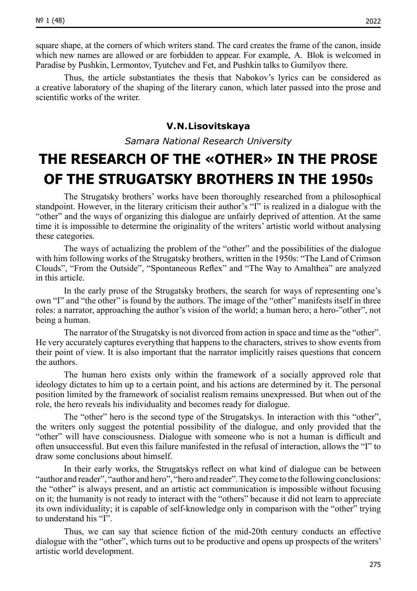square shape, at the corners of which writers stand. The card creates the frame of the canon, inside which new names are allowed or are forbidden to appear. For example, A. Blok is welcomed in Paradise by Pushkin, Lermontov, Tyutchev and Fet, and Pushkin talks to Gumilyov there.

Thus, the article substantiates the thesis that Nabokov's lyrics can be considered as a creative laboratory of the shaping of the literary canon, which later passed into the prose and scientific works of the writer.

#### **V.N.Lisovitskaya**

#### *Samara National Research University*

## **THE RESEARCH OF THE «OTHER» IN THE PROSE OF THE STRUGATSKY BROTHERS IN THE 1950s**

The Strugatsky brothers' works have been thoroughly researched from a philosophical standpoint. However, in the literary criticism their author's "I" is realized in a dialogue with the "other" and the ways of organizing this dialogue are unfairly deprived of attention. At the same time it is impossible to determine the originality of the writers' artistic world without analysing these categories.

The ways of actualizing the problem of the "other" and the possibilities of the dialogue with him following works of the Strugatsky brothers, written in the 1950s: "The Land of Crimson Clouds", "From the Outside", "Spontaneous Reflex" and "The Way to Amalthea" are analyzed in this article.

In the early prose of the Strugatsky brothers, the search for ways of representing one's own "I" and "the other" is found by the authors. The image of the "other" manifests itself in three roles: a narrator, approaching the author's vision of the world; a human hero; a hero-"other", not being a human.

The narrator of the Strugatsky is not divorced from action in space and time as the "other". He very accurately captures everything that happens to the characters, strives to show events from their point of view. It is also important that the narrator implicitly raises questions that concern the authors.

The human hero exists only within the framework of a socially approved role that ideology dictates to him up to a certain point, and his actions are determined by it. The personal position limited by the framework of socialist realism remains unexpressed. But when out of the role, the hero reveals his individuality and becomes ready for dialogue.

The "other" hero is the second type of the Strugatskys. In interaction with this "other", the writers only suggest the potential possibility of the dialogue, and only provided that the "other" will have consciousness. Dialogue with someone who is not a human is difficult and often unsuccessful. But even this failure manifested in the refusal of interaction, allows the "I" to draw some conclusions about himself.

In their early works, the Strugatskys reflect on what kind of dialogue can be between "author and reader", "author and hero", "hero and reader". They come to the following conclusions: the "other" is always present, and an artistic act communication is impossible without focusing on it; the humanity is not ready to interact with the "others" because it did not learn to appreciate its own individuality; it is capable of self-knowledge only in comparison with the "other" trying to understand his "I".

Thus, we can say that science fiction of the mid-20th century conducts an effective dialogue with the "other", which turns out to be productive and opens up prospects of the writers' artistic world development.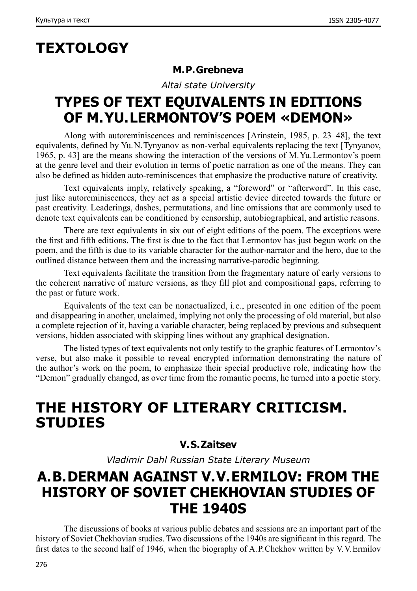# **TEXTOLOGY**

#### **M. P. Grebneva**

*Altai state University*

## **TYPES OF TEXT EQUIVALENTS IN EDITIONS OF M. YU. LERMONTOV'S POEM «DEMON»**

Along with autoreminiscences and reminiscences [Arinstein, 1985, p. 23–48], the text equivalents, defined by Yu.N. Tynyanov as non-verbal equivalents replacing the text [Tynyanov, 1965, p. 43] are the means showing the interaction of the versions of M. Yu. Lermontov's poem at the genre level and their evolution in terms of poetic narration as one of the means. They can also be defined as hidden auto-reminiscences that emphasize the productive nature of creativity.

Text equivalents imply, relatively speaking, a "foreword" or "afterword". In this case, just like autoreminiscences, they act as a special artistic device directed towards the future or past creativity. Leaderings, dashes, permutations, and line omissions that are commonly used to denote text equivalents can be conditioned by censorship, autobiographical, and artistic reasons.

There are text equivalents in six out of eight editions of the poem. The exceptions were the first and fifth editions. The first is due to the fact that Lermontov has just begun work on the poem, and the fifth is due to its variable character for the author-narrator and the hero, due to the outlined distance between them and the increasing narrative-parodic beginning.

Text equivalents facilitate the transition from the fragmentary nature of early versions to the coherent narrative of mature versions, as they fill plot and compositional gaps, referring to the past or future work.

Equivalents of the text can be nonactualized, i. e., presented in one edition of the poem and disappearing in another, unclaimed, implying not only the processing of old material, but also a complete rejection of it, having a variable character, being replaced by previous and subsequent versions, hidden associated with skipping lines without any graphical designation.

The listed types of text equivalents not only testify to the graphic features of Lermontov's verse, but also make it possible to reveal encrypted information demonstrating the nature of the author's work on the poem, to emphasize their special productive role, indicating how the "Demon" gradually changed, as over time from the romantic poems, he turned into a poetic story.

## **THE HISTORY OF LITERARY CRITICISM. STUDIES**

#### **V. S. Zaitsev**

*Vladimir Dahl Russian State Literary Museum*

### **A. B. DERMAN AGAINST V. V. ERMILOV: FROM THE HISTORY OF SOVIET CHEKHOVIAN STUDIES OF THE 1940S**

The discussions of books at various public debates and sessions are an important part of the history of Soviet Chekhovian studies. Two discussions of the 1940s are significant in this regard. The first dates to the second half of 1946, when the biography of A. P. Chekhov written by V. V. Ermilov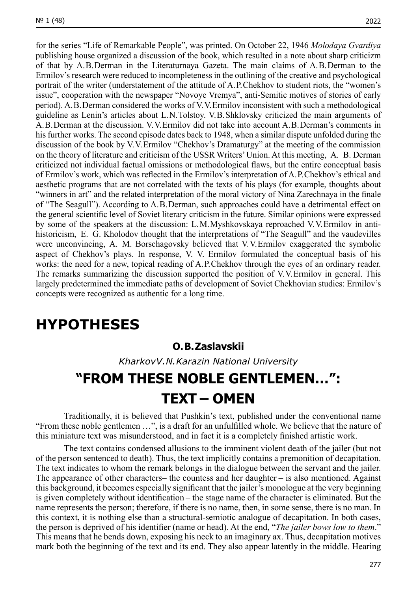for the series "Life of Remarkable People", was printed. On October 22, 1946 *Molodaya Gvardiya* publishing house organized a discussion of the book, which resulted in a note about sharp criticizm of that by A. B. Derman in the Literaturnaya Gazeta. The main claims of A. B. Derman to the Ermilov's research were reduced to incompleteness in the outlining of the creative and psychological portrait of the writer (understatement of the attitude of A. P. Chekhov to student riots, the "women's issue", cooperation with the newspaper "Novoye Vremya", anti-Semitic motives of stories of early period). A. B. Derman considered the works of V. V. Ermilov inconsistent with such a methodological guideline as Lenin's articles about L. N. Tolstoy. V. B. Shklovsky criticized the main arguments of A. B. Derman at the discussion. V. V. Ermilov did not take into account A. B. Derman's comments in his further works. The second episode dates back to 1948, when a similar dispute unfolded during the discussion of the book by V. V. Ermilov "Chekhov's Dramaturgy" at the meeting of the commission on the theory of literature and criticism of the USSR Writers' Union. At this meeting, A. B. Derman criticized not individual factual omissions or methodological flaws, but the entire conceptual basis of Ermilov's work, which was reflected in the Ermilov's interpretation of A. P. Chekhov's ethical and aesthetic programs that are not correlated with the texts of his plays (for example, thoughts about "winners in art" and the related interpretation of the moral victory of Nina Zarechnaya in the finale of "The Seagull"). According to A. B. Derman, such approaches could have a detrimental effect on the general scientific level of Soviet literary criticism in the future. Similar opinions were expressed by some of the speakers at the discussion: L. M. Myshkovskaya reproached V. V. Ermilov in antihistoricism, E. G. Kholodov thought that the interpretations of "The Seagull" and the vaudevilles were unconvincing, A. M. Borschagovsky believed that V.V. Ermilov exaggerated the symbolic aspect of Chekhov's plays. In response, V. V. Ermilov formulated the conceptual basis of his works: the need for a new, topical reading of A. P. Chekhov through the eyes of an ordinary reader. The remarks summarizing the discussion supported the position of V. V. Ermilov in general. This largely predetermined the immediate paths of development of Soviet Chekhovian studies: Ermilov's concepts were recognized as authentic for a long time.

### **HYPOTHESES**

#### **O. B. Zaslavskii**

*KharkovV.N.Karazin National University*

# **"FROM THESE NOBLE GENTLEMEN…": TEXT – OMEN**

Traditionally, it is believed that Pushkin's text, published under the conventional name "From these noble gentlemen …", is a draft for an unfulfilled whole. We believe that the nature of this miniature text was misunderstood, and in fact it is a completely finished artistic work.

The text contains condensed allusions to the imminent violent death of the jailer (but not of the person sentenced to death). Thus, the text implicitly contains a premonition of decapitation. The text indicates to whom the remark belongs in the dialogue between the servant and the jailer. The appearance of other characters– the countess and her daughter – is also mentioned. Against this background, it becomes especially significant that the jailer's monologue at the very beginning is given completely without identification – the stage name of the character is eliminated. But the name represents the person; therefore, if there is no name, then, in some sense, there is no man. In this context, it is nothing else than a structural-semiotic analogue of decapitation. In both cases, the person is deprived of his identifier (name or head). At the end, "*The jailer bows low to them*." This means that he bends down, exposing his neck to an imaginary ax. Thus, decapitation motives mark both the beginning of the text and its end. They also appear latently in the middle. Hearing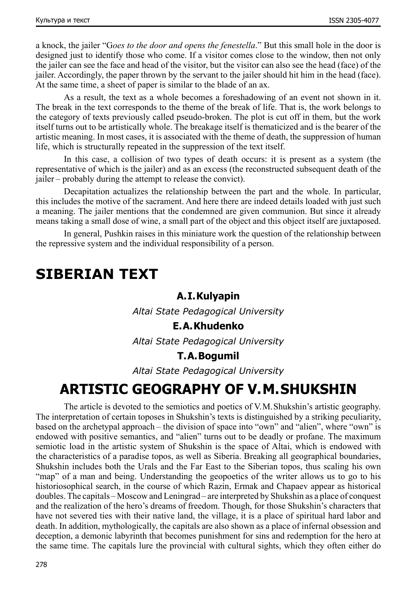a knock, the jailer "G*oes to the door and opens the fenestella*." But this small hole in the door is designed just to identify those who come. If a visitor comes close to the window, then not only the jailer can see the face and head of the visitor, but the visitor can also see the head (face) of the jailer. Accordingly, the paper thrown by the servant to the jailer should hit him in the head (face). At the same time, a sheet of paper is similar to the blade of an ax.

As a result, the text as a whole becomes a foreshadowing of an event not shown in it. The break in the text corresponds to the theme of the break of life. That is, the work belongs to the category of texts previously called pseudo-broken. The plot is cut off in them, but the work itself turns out to be artistically whole. The breakage itself is thematicized and is the bearer of the artistic meaning. In most cases, it is associated with the theme of death, the suppression of human life, which is structurally repeated in the suppression of the text itself.

In this case, a collision of two types of death occurs: it is present as a system (the representative of which is the jailer) and as an excess (the reconstructed subsequent death of the jailer – probably during the attempt to release the convict).

Decapitation actualizes the relationship between the part and the whole. In particular, this includes the motive of the sacrament. And here there are indeed details loaded with just such a meaning. The jailer mentions that the condemned are given communion. But since it already means taking a small dose of wine, a small part of the object and this object itself are juxtaposed.

In general, Pushkin raises in this miniature work the question of the relationship between the repressive system and the individual responsibility of a person.

## **SIBERIAN TEXT**

#### **A. I. Kulyapin**

*Altai State Pedagogical University*

#### **E. A. Khudenko**

*Altai State Pedagogical University*

#### **T. A. Bogumil**

*Altai State Pedagogical University*

## **ARTISTIC GEOGRAPHY OF V. M. SHUKSHIN**

The article is devoted to the semiotics and poetics of V. M. Shukshin's artistic geography. The interpretation of certain toposes in Shukshin's texts is distinguished by a striking peculiarity, based on the archetypal approach – the division of space into "own" and "alien", where "own" is endowed with positive semantics, and "alien" turns out to be deadly or profane. The maximum semiotic load in the artistic system of Shukshin is the space of Altai, which is endowed with the characteristics of a paradise topos, as well as Siberia. Breaking all geographical boundaries, Shukshin includes both the Urals and the Far East to the Siberian topos, thus scaling his own "map" of a man and being. Understanding the geopoetics of the writer allows us to go to his historiosophical search, in the course of which Razin, Ermak and Chapaev appear as historical doubles. The capitals – Moscow and Leningrad – are interpreted by Shukshin as a place of conquest and the realization of the hero's dreams of freedom. Though, for those Shukshin's characters that have not severed ties with their native land, the village, it is a place of spiritual hard labor and death. In addition, mythologically, the capitals are also shown as a place of infernal obsession and deception, a demonic labyrinth that becomes punishment for sins and redemption for the hero at the same time. The capitals lure the provincial with cultural sights, which they often either do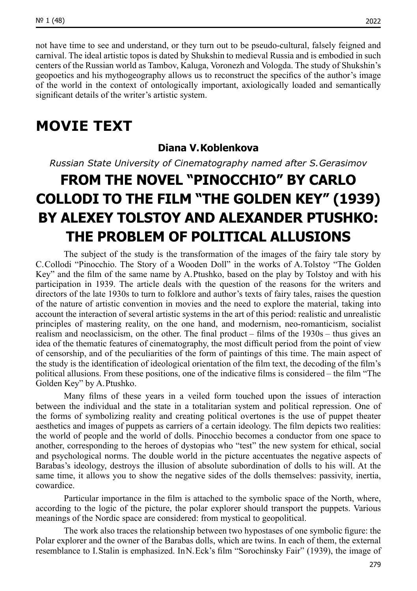not have time to see and understand, or they turn out to be pseudo-cultural, falsely feigned and carnival. The ideal artistic topos is dated by Shukshin to medieval Russia and is embodied in such centers of the Russian world as Tambov, Kaluga, Voronezh and Vologda. The study of Shukshin's geopoetics and his mythogeography allows us to reconstruct the specifics of the author's image of the world in the context of ontologically important, axiologically loaded and semantically significant details of the writer's artistic system.

### **MOVIE TEXT**

#### **Diana V. Koblenkova**

*Russian State University of Cinematography named after S.Gerasimov*

# **FROM THE NOVEL "PINOCCHIO" BY CARLO COLLODI TO THE FILM "THE GOLDEN KEY" (1939) BY ALEXEY TOLSTOY AND ALEXANDER PTUSHKO: THE PROBLEM OF POLITICAL ALLUSIONS**

The subject of the study is the transformation of the images of the fairy tale story by C. Collodi "Pinocchio. The Story of a Wooden Doll" in the works of A. Tolstoy "The Golden Key" and the film of the same name by A. Ptushko, based on the play by Tolstoy and with his participation in 1939. The article deals with the question of the reasons for the writers and directors of the late 1930s to turn to folklore and author's texts of fairy tales, raises the question of the nature of artistic convention in movies and the need to explore the material, taking into account the interaction of several artistic systems in the art of this period: realistic and unrealistic principles of mastering reality, on the one hand, and modernism, neo-romanticism, socialist realism and neoclassicism, on the other. The final product – films of the 1930s – thus gives an idea of the thematic features of cinematography, the most difficult period from the point of view of censorship, and of the peculiarities of the form of paintings of this time. The main aspect of the study is the identification of ideological orientation of the film text, the decoding of the film's political allusions. From these positions, one of the indicative films is considered – the film "The Golden Key" by A. Ptushko.

Many films of these years in a veiled form touched upon the issues of interaction between the individual and the state in a totalitarian system and political repression. One of the forms of symbolizing reality and creating political overtones is the use of puppet theater aesthetics and images of puppets as carriers of a certain ideology. The film depicts two realities: the world of people and the world of dolls. Pinocchio becomes a conductor from one space to another, corresponding to the heroes of dystopias who "test" the new system for ethical, social and psychological norms. The double world in the picture accentuates the negative aspects of Barabas's ideology, destroys the illusion of absolute subordination of dolls to his will. At the same time, it allows you to show the negative sides of the dolls themselves: passivity, inertia, cowardice.

Particular importance in the film is attached to the symbolic space of the North, where, according to the logic of the picture, the polar explorer should transport the puppets. Various meanings of the Nordic space are considered: from mystical to geopolitical.

The work also traces the relationship between two hypostases of one symbolic figure: the Polar explorer and the owner of the Barabas dolls, which are twins. In each of them, the external resemblance to I. Stalin is emphasized. In N. Eck's film "Sorochinsky Fair" (1939), the image of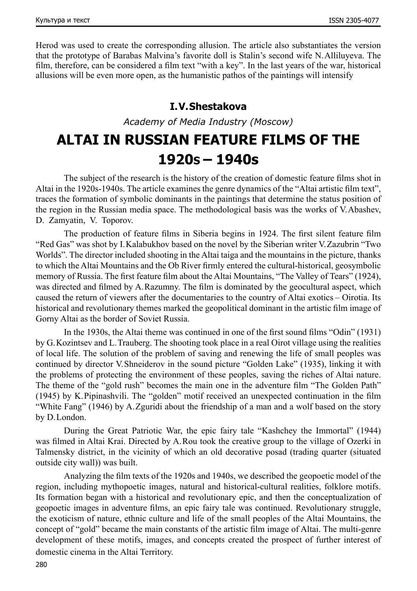Herod was used to create the corresponding allusion. The article also substantiates the version that the prototype of Barabas Malvina's favorite doll is Stalin's second wife N. Alliluyeva. The film, therefore, can be considered a film text "with a key". In the last years of the war, historical allusions will be even more open, as the humanistic pathos of the paintings will intensify

#### **I. V. Shestakova**

*Academy of Media Industry (Mosсow)*

# **ALTAI IN RUSSIAN FEATURE FILMS OF THE 1920s – 1940s**

The subject of the research is the history of the creation of domestic feature films shot in Altai in the 1920s‑1940s. The article examines the genre dynamics of the "Altai artistic film text", traces the formation of symbolic dominants in the paintings that determine the status position of the region in the Russian media space. The methodological basis was the works of V. Abashev, D. Zamyatin, V. Toporov.

The production of feature films in Siberia begins in 1924. The first silent feature film "Red Gas" was shot by I. Kalabukhov based on the novel by the Siberian writer V. Zazubrin "Two Worlds". The director included shooting in the Altai taiga and the mountains in the picture, thanks to which the Altai Mountains and the Ob River firmly entered the cultural-historical, geosymbolic memory of Russia. The first feature film about the Altai Mountains, "The Valley of Tears" (1924), was directed and filmed by A. Razumny. The film is dominated by the geocultural aspect, which caused the return of viewers after the documentaries to the country of Altai exotics – Oirotia. Its historical and revolutionary themes marked the geopolitical dominant in the artistic film image of Gorny Altai as the border of Soviet Russia.

In the 1930s, the Altai theme was continued in one of the first sound films "Odin" (1931) by G. Kozintsev and L. Trauberg. The shooting took place in a real Oirot village using the realities of local life. The solution of the problem of saving and renewing the life of small peoples was continued by director V. Shneiderov in the sound picture "Golden Lake" (1935), linking it with the problems of protecting the environment of these peoples, saving the riches of Altai nature. The theme of the "gold rush" becomes the main one in the adventure film "The Golden Path" (1945) by K. Pipinashvili. The "golden" motif received an unexpected continuation in the film "White Fang" (1946) by A. Zguridi about the friendship of a man and a wolf based on the story by D. London.

During the Great Patriotic War, the epic fairy tale "Kashchey the Immortal" (1944) was filmed in Altai Krai. Directed by A. Rou took the creative group to the village of Ozerki in Talmensky district, in the vicinity of which an old decorative posad (trading quarter (situated outside city wall)) was built.

Analyzing the film texts of the 1920s and 1940s, we described the geopoetic model of the region, including mythopoetic images, natural and historical-cultural realities, folklore motifs. Its formation began with a historical and revolutionary epic, and then the conceptualization of geopoetic images in adventure films, an epic fairy tale was continued. Revolutionary struggle, the exoticism of nature, ethnic culture and life of the small peoples of the Altai Mountains, the concept of "gold" became the main constants of the artistic film image of Altai. The multi-genre development of these motifs, images, and concepts created the prospect of further interest of domestic cinema in the Altai Territory.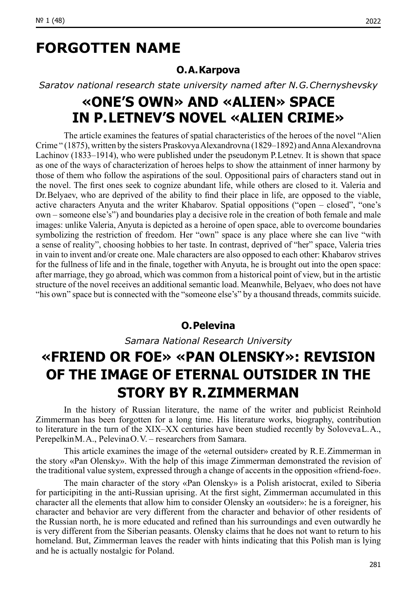## **FORGOTTEN NAME**

#### **O. A. Karpova**

#### *Saratov national research state university named after N.G.Chernyshevsky*

### **«ONE'S OWN» AND «ALIEN» SPACE IN P. LETNEV'S NOVEL «ALIEN CRIME»**

The article examines the features of spatial characteristics of the heroes of the novel "Alien Crime " (1875), written by the sisters Praskovya Alexandrovna (1829–1892) and Anna Alexandrovna Lachinov (1833–1914), who were published under the pseudonym P. Letnev. It is shown that space as one of the ways of characterization of heroes helps to show the attainment of inner harmony by those of them who follow the aspirations of the soul. Oppositional pairs of characters stand out in the novel. The first ones seek to cognize abundant life, while others are closed to it. Valeria and Dr. Belyaev, who are deprived of the ability to find their place in life, are opposed to the viable, active characters Anyuta and the writer Khabarov. Spatial oppositions ("open – closed", "one's own – someone else's") and boundaries play a decisive role in the creation of both female and male images: unlike Valeria, Anyuta is depicted as a heroine of open space, able to overcome boundaries symbolizing the restriction of freedom. Her "own" space is any place where she can live "with a sense of reality", choosing hobbies to her taste. In contrast, deprived of "her" space, Valeria tries in vain to invent and/or create one. Male characters are also opposed to each other: Khabarov strives for the fullness of life and in the finale, together with Anyuta, he is brought out into the open space: after marriage, they go abroad, which was common from a historical point of view, but in the artistic structure of the novel receives an additional semantic load. Meanwhile, Belyaev, who does not have "his own" space but is connected with the "someone else's" by a thousand threads, commits suicide.

#### **O. Pelevina**

#### *Samara National Research University*

## **«FRIEND OR FOE» «PAN OLENSKY»: REVISION OF THE IMAGE OF ETERNAL OUTSIDER IN THE STORY BY R. ZIMMERMAN**

In the history of Russian literature, the name of the writer and publicist Reinhold Zimmerman has been forgotten for a long time. His literature works, biography, contribution to literature in the turn of the XIX–XX centuries have been studied recently by Soloveva L. A., Perepelkin $M$ . $A$ ., Pelevina $O$ . $V$ . – researchers from Samara.

This article examines the image of the «eternal outsider» created by R.E. Zimmerman in the story «Pan Olensky». With the help of this image Zimmerman demonstrated the revision of the traditional value system, expressed through a change of accents in the opposition «friend-foe».

The main character of the story «Pan Olensky» is a Polish aristocrat, exiled to Siberia for participiting in the anti-Russian uprising. At the first sight, Zimmerman accumulated in this character all the elements that allow him to consider Olensky an «outsider»: he is a foreigner, his character and behavior are very different from the character and behavior of other residents of the Russian north, he is more educated and refined than his surroundings and even outwardly he is very different from the Siberian peasants. Olensky claims that he does not want to return to his homeland. But, Zimmerman leaves the reader with hints indicating that this Polish man is lying and he is actually nostalgic for Poland.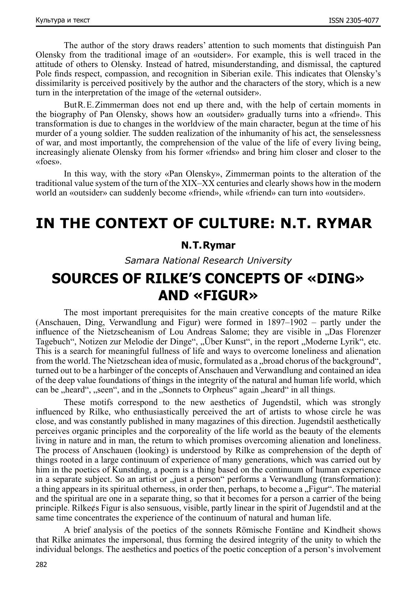The author of the story draws readers' attention to such moments that distinguish Pan Olensky from the traditional image of an «outsider». For example, this is well traced in the attitude of others to Olensky. Instead of hatred, misunderstanding, and dismissal, the captured Pole finds respect, compassion, and recognition in Siberian exile. This indicates that Olensky's dissimilarity is perceived positively by the author and the characters of the story, which is a new turn in the interpretation of the image of the «eternal outsider».

But R. E. Zimmerman does not end up there and, with the help of certain moments in the biography of Pan Olensky, shows how an «outsider» gradually turns into a «friend». This transformation is due to changes in the worldview of the main character, begun at the time of his murder of a young soldier. The sudden realization of the inhumanity of his act, the senselessness of war, and most importantly, the comprehension of the value of the life of every living being, increasingly alienate Olensky from his former «friends» and bring him closer and closer to the «foes».

In this way, with the story «Pan Olensky», Zimmerman points to the alteration of the traditional value system of the turn of the XIX–XX centuries and clearly shows how in the modern world an «outsider» can suddenly become «friend», while «friend» can turn into «outsider».

### **IN THE CONTEXT OF CULTURE: N.T. RYMAR**

#### **N. T. Rymar**

*Samara National Research University*

### **SOURCES OF RILKE'S CONCEPTS OF «DING» AND «FIGUR»**

The most important prerequisites for the main creative concepts of the mature Rilke (Anschauen, Ding, Verwandlung and Figur) were formed in 1897–1902 – partly under the influence of the Nietzscheanism of Lou Andreas Salome; they are visible in . Das Florenzer Tagebuch", Notizen zur Melodie der Dinge", "Über Kunst", in the report "Moderne Lyrik", etc. This is a search for meaningful fullness of life and ways to overcome loneliness and alienation from the world. The Nietzschean idea of music, formulated as a "broad chorus of the background", turned out to be a harbinger of the concepts of Anschauen and Verwandlung and contained an idea of the deep value foundations of things in the integrity of the natural and human life world, which can be "heard", "seen", and in the "Sonnets to Orpheus" again "heard" in all things.

These motifs correspond to the new aesthetics of Jugendstil, which was strongly influenced by Rilke, who enthusiastically perceived the art of artists to whose circle he was close, and was constantly published in many magazines of this direction. Jugendstil aesthetically perceives organic principles and the corporeality of the life world as the beauty of the elements living in nature and in man, the return to which promises overcoming alienation and loneliness. The process of Anschauen (looking) is understood by Rilke as comprehension of the depth of things rooted in a large continuum of experience of many generations, which was carried out by him in the poetics of Kunstding, a poem is a thing based on the continuum of human experience in a separate subject. So an artist or "just a person" performs a Verwandlung (transformation): a thing appears in its spiritual otherness, in order then, perhaps, to become a "Figur". The material and the spiritual are one in a separate thing, so that it becomes for a person a carrier of the being principle. Rilke¢s Figur is also sensuous, visible, partly linear in the spirit of Jugendstil and at the same time concentrates the experience of the continuum of natural and human life.

A brief analysis of the poetics of the sonnets Römische Fontäne and Kindheit shows that Rilke animates the impersonal, thus forming the desired integrity of the unity to which the individual belongs. The aesthetics and poetics of the poetic conception of a person's involvement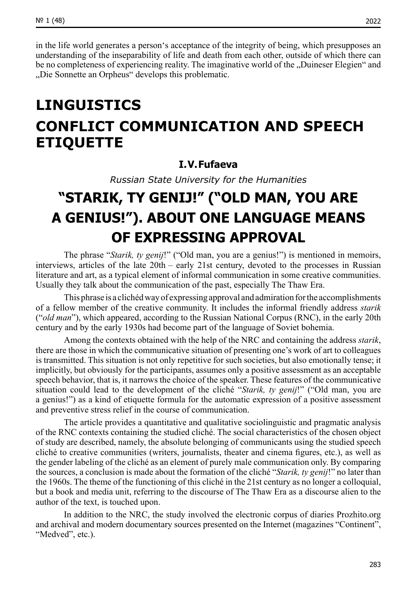in the life world generates a person's acceptance of the integrity of being, which presupposes an understanding of the inseparability of life and death from each other, outside of which there can be no completeness of experiencing reality. The imaginative world of the "Duineser Elegien" and "Die Sonnette an Orpheus" develops this problematic.

# **LINGUISTICS CONFLICT COMMUNICATION AND SPEECH ETIQUETTE**

#### **I. V. Fufaeva**

*Russian State University for the Humanities*

# **"STARIK, TY GENIJ!" ("OLD MAN, YOU ARE A GENIUS!"). ABOUT ONE LANGUAGE MEANS OF EXPRESSING APPROVAL**

The phrase "*Starik, ty genij*!" ("Old man, you are a genius!") is mentioned in memoirs, interviews, articles of the late 20th – early 21st century, devoted to the processes in Russian literature and art, as a typical element of informal communication in some creative communities. Usually they talk about the communication of the past, especially The Thaw Era.

This phrase is a clichéd way of expressing approval and admiration for the accomplishments of a fellow member of the creative community. It includes the informal friendly address *starik* ("*old man*"), which appeared, according to the Russian National Corpus (RNC), in the early 20th century and by the early 1930s had become part of the language of Soviet bohemia.

Among the contexts obtained with the help of the NRC and containing the address *starik*, there are those in which the communicative situation of presenting one's work of art to colleagues is transmitted. This situation is not only repetitive for such societies, but also emotionally tense; it implicitly, but obviously for the participants, assumes only a positive assessment as an acceptable speech behavior, that is, it narrows the choice of the speaker. These features of the communicative situation could lead to the development of the cliché "*Starik, ty genij*!" ("Old man, you are a genius!") as a kind of etiquette formula for the automatic expression of a positive assessment and preventive stress relief in the course of communication.

The article provides a quantitative and qualitative sociolinguistic and pragmatic analysis of the RNC contexts containing the studied cliché. The social characteristics of the chosen object of study are described, namely, the absolute belonging of communicants using the studied speech cliché to creative communities (writers, journalists, theater and cinema figures, etc.), as well as the gender labeling of the cliché as an element of purely male communication only. By comparing the sources, a conclusion is made about the formation of the cliché "*Starik, ty genij*!" no later than the 1960s. The theme of the functioning of this cliché in the 21st century as no longer a colloquial, but a book and media unit, referring to the discourse of The Thaw Era as a discourse alien to the author of the text, is touched upon.

In addition to the NRC, the study involved the electronic corpus of diaries Prozhito.org and archival and modern documentary sources presented on the Internet (magazines "Continent", "Medved", etc.).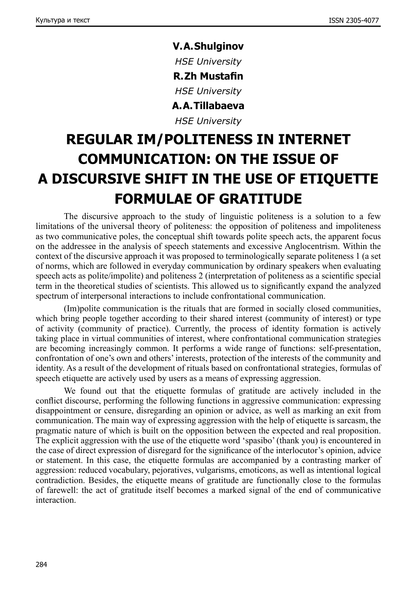**V. A. Shulginov** *HSE University* **R. Zh Mustafin** *HSE University* **A. A. Tillabaeva**

*HSE University*

# **REGULAR IM/POLITENESS IN INTERNET COMMUNICATION: ON THE ISSUE OF A DISCURSIVE SHIFT IN THE USE OF ETIQUETTE FORMULAE OF GRATITUDE**

The discursive approach to the study of linguistic politeness is a solution to a few limitations of the universal theory of politeness: the opposition of politeness and impoliteness as two communicative poles, the conceptual shift towards polite speech acts, the apparent focus on the addressee in the analysis of speech statements and excessive Anglocentrism. Within the context of the discursive approach it was proposed to terminologically separate politeness 1 (a set of norms, which are followed in everyday communication by ordinary speakers when evaluating speech acts as polite/impolite) and politeness 2 (interpretation of politeness as a scientific special term in the theoretical studies of scientists. This allowed us to significantly expand the analyzed spectrum of interpersonal interactions to include confrontational communication.

(Im)polite communication is the rituals that are formed in socially closed communities, which bring people together according to their shared interest (community of interest) or type of activity (community of practice). Currently, the process of identity formation is actively taking place in virtual communities of interest, where confrontational communication strategies are becoming increasingly common. It performs a wide range of functions: self-presentation, confrontation of one's own and others' interests, protection of the interests of the community and identity. As a result of the development of rituals based on confrontational strategies, formulas of speech etiquette are actively used by users as a means of expressing aggression.

We found out that the etiquette formulas of gratitude are actively included in the conflict discourse, performing the following functions in aggressive communication: expressing disappointment or censure, disregarding an opinion or advice, as well as marking an exit from communication. The main way of expressing aggression with the help of etiquette is sarcasm, the pragmatic nature of which is built on the opposition between the expected and real proposition. The explicit aggression with the use of the etiquette word 'spasibo' (thank you) is encountered in the case of direct expression of disregard for the significance of the interlocutor's opinion, advice or statement. In this case, the etiquette formulas are accompanied by a contrasting marker of aggression: reduced vocabulary, pejoratives, vulgarisms, emoticons, as well as intentional logical contradiction. Besides, the etiquette means of gratitude are functionally close to the formulas of farewell: the act of gratitude itself becomes a marked signal of the end of communicative interaction.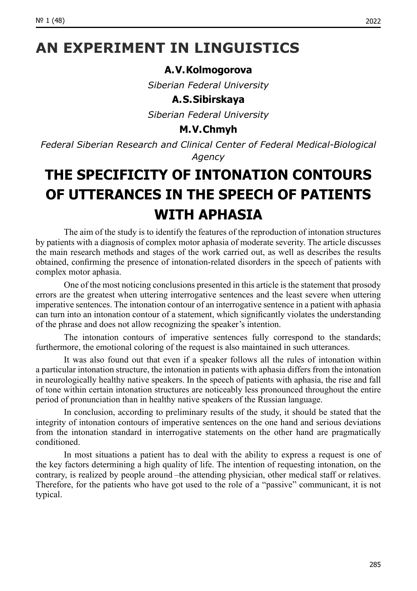#### **A. V. Kolmogorova**

*Siberian Federal University*

**A. S. Sibirskaya**

*Siberian Federal University*

**M. V. Chmyh**

*Federal Siberian Research and Clinical Center of Federal Medical-Biological Agency*

# **THE SPECIFICITY OF INTONATION CONTOURS OF UTTERANCES IN THE SPEECH OF PATIENTS WITH APHASIA**

The aim of the study is to identify the features of the reproduction of intonation structures by patients with a diagnosis of complex motor aphasia of moderate severity. The article discusses the main research methods and stages of the work carried out, as well as describes the results obtained, confirming the presence of intonation-related disorders in the speech of patients with complex motor aphasia.

One of the most noticing conclusions presented in this article is the statement that prosody errors are the greatest when uttering interrogative sentences and the least severe when uttering imperative sentences. The intonation contour of an interrogative sentence in a patient with aphasia can turn into an intonation contour of a statement, which significantly violates the understanding of the phrase and does not allow recognizing the speaker's intention.

The intonation contours of imperative sentences fully correspond to the standards; furthermore, the emotional coloring of the request is also maintained in such utterances.

It was also found out that even if a speaker follows all the rules of intonation within a particular intonation structure, the intonation in patients with aphasia differs from the intonation in neurologically healthy native speakers. In the speech of patients with aphasia, the rise and fall of tone within certain intonation structures are noticeably less pronounced throughout the entire period of pronunciation than in healthy native speakers of the Russian language.

In conclusion, according to preliminary results of the study, it should be stated that the integrity of intonation contours of imperative sentences on the one hand and serious deviations from the intonation standard in interrogative statements on the other hand are pragmatically conditioned.

In most situations a patient has to deal with the ability to express a request is one of the key factors determining a high quality of life. The intention of requesting intonation, on the contrary, is realized by people around –the attending physician, other medical staff or relatives. Therefore, for the patients who have got used to the role of a "passive" communicant, it is not typical.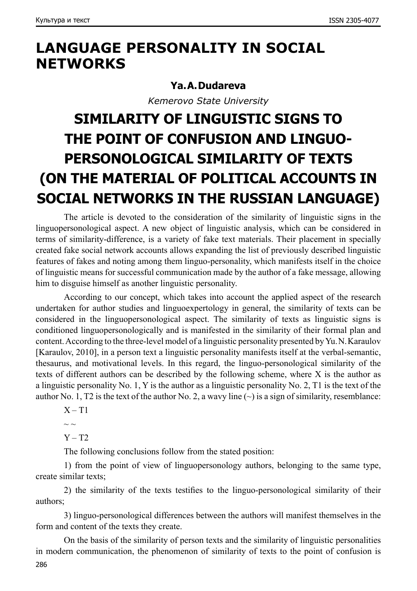## **LANGUAGE PERSONALITY IN SOCIAL NETWORKS**

#### **Ya. A. Dudareva**

*Kemerovo State University*

# **SIMILARITY OF LINGUISTIC SIGNS TO THE POINT OF CONFUSION AND LINGUO-PERSONOLOGICAL SIMILARITY OF TEXTS (ON THE MATERIAL OF POLITICAL ACCOUNTS IN SOCIAL NETWORKS IN THE RUSSIAN LANGUAGE)**

The article is devoted to the consideration of the similarity of linguistic signs in the linguopersonological aspect. A new object of linguistic analysis, which can be considered in terms of similarity-difference, is a variety of fake text materials. Their placement in specially created fake social network accounts allows expanding the list of previously described linguistic features of fakes and noting among them linguo-personality, which manifests itself in the choice of linguistic means for successful communication made by the author of a fake message, allowing him to disguise himself as another linguistic personality.

According to our concept, which takes into account the applied aspect of the research undertaken for author studies and linguoexpertology in general, the similarity of texts can be considered in the linguopersonological aspect. The similarity of texts as linguistic signs is conditioned linguopersonologically and is manifested in the similarity of their formal plan and content. According to the three-level model of a linguistic personality presented by Yu. N. Karaulov [Karaulov, 2010], in a person text a linguistic personality manifests itself at the verbal-semantic, thesaurus, and motivational levels. In this regard, the linguo-personological similarity of the texts of different authors can be described by the following scheme, where X is the author as a linguistic personality No. 1, Y is the author as a linguistic personality No. 2, T1 is the text of the author No. 1, T2 is the text of the author No. 2, a wavy line  $(\sim)$  is a sign of similarity, resemblance:

 $X - T1$ 

 $\sim$   $\sim$ 

 $Y - T2$ 

The following conclusions follow from the stated position:

1) from the point of view of linguopersonology authors, belonging to the same type, create similar texts;

2) the similarity of the texts testifies to the linguo-personological similarity of their authors;

3) linguo-personological differences between the authors will manifest themselves in the form and content of the texts they create.

286 On the basis of the similarity of person texts and the similarity of linguistic personalities in modern communication, the phenomenon of similarity of texts to the point of confusion is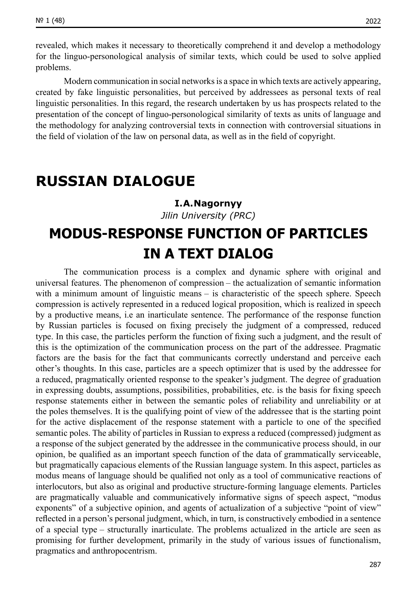revealed, which makes it necessary to theoretically comprehend it and develop a methodology for the linguo-personological analysis of similar texts, which could be used to solve applied problems.

Modern communication in social networks is a space in which texts are actively appearing, created by fake linguistic personalities, but perceived by addressees as personal texts of real linguistic personalities. In this regard, the research undertaken by us has prospects related to the presentation of the concept of linguo-personological similarity of texts as units of language and the methodology for analyzing controversial texts in connection with controversial situations in the field of violation of the law on personal data, as well as in the field of copyright.

### **RUSSIAN DIALOGUE**

#### **I.A.Nagornyy**

*Jilin University (PRC)*

## **MODUS-RESPONSE FUNCTION OF PARTICLES IN A TEXT DIALOG**

The communication process is a complex and dynamic sphere with original and universal features. The phenomenon of compression – the actualization of semantic information with a minimum amount of linguistic means – is characteristic of the speech sphere. Speech compression is actively represented in a reduced logical proposition, which is realized in speech by a productive means, i.e an inarticulate sentence. The performance of the response function by Russian particles is focused on fixing precisely the judgment of a compressed, reduced type. In this case, the particles perform the function of fixing such a judgment, and the result of this is the optimization of the communication process on the part of the addressee. Pragmatic factors are the basis for the fact that communicants correctly understand and perceive each other's thoughts. In this case, particles are a speech optimizer that is used by the addressee for a reduced, pragmatically oriented response to the speaker's judgment. The degree of graduation in expressing doubts, assumptions, possibilities, probabilities, etc. is the basis for fixing speech response statements either in between the semantic poles of reliability and unreliability or at the poles themselves. It is the qualifying point of view of the addressee that is the starting point for the active displacement of the response statement with a particle to one of the specified semantic poles. The ability of particles in Russian to express a reduced (compressed) judgment as a response of the subject generated by the addressee in the communicative process should, in our opinion, be qualified as an important speech function of the data of grammatically serviceable, but pragmatically capacious elements of the Russian language system. In this aspect, particles as modus means of language should be qualified not only as a tool of communicative reactions of interlocutors, but also as original and productive structure-forming language elements. Particles are pragmatically valuable and communicatively informative signs of speech aspect, "modus exponents" of a subjective opinion, and agents of actualization of a subjective "point of view" reflected in a person's personal judgment, which, in turn, is constructively embodied in a sentence of a special type – structurally inarticulate. The problems actualized in the article are seen as promising for further development, primarily in the study of various issues of functionalism, pragmatics and anthropocentrism.